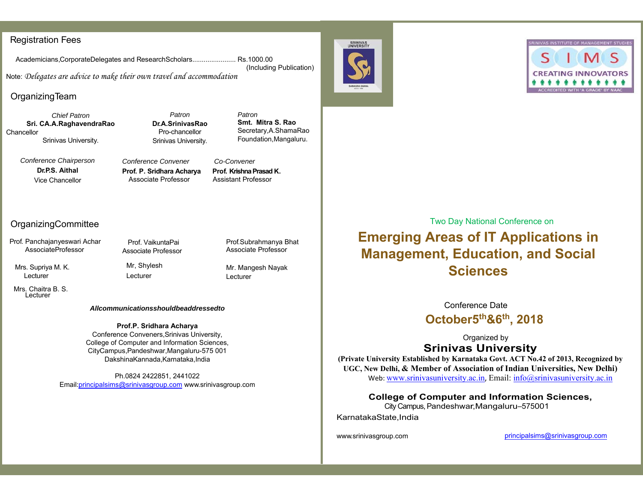## Registration Fees

Academicians,CorporateDelegates and ResearchScholars....................... Rs.1000.00

Note: *Delegates are advice to make their own travel and accommodation* 

# OrganizingTeam

*Chief Patron***Sri. CA.A.RaghavendraRao Chancellor** Srinivas University.

*Patron***Dr.A.SrinivasRao**Pro-chancellor Srinivas University.

*Patron***Smt. Mitra S. Rao**Secretary,A.ShamaRao Foundation,Mangaluru.

(Including Publication)

*Conference Chairperson*  **Dr.P.S. Aithal** Vice Chancellor

*Conference Convener Co-Convener*Prof. P. Sridhara Acharya Prof. Krishna Prasad K. Associate Professor Assistant Professor

# OrganizingCommittee

Prof. Panchajanyeswari Achar AssociateProfessor

 Mrs. Supriya M. K. Lecturer

Prof. VaikuntaPai Associate Professor

> Mr, Shylesh Lecturer

Prof.Subrahmanya Bhat Associate Professor

Mr. Mangesh Nayak Lecturer

 Mrs. Chaitra B. S. Lecturer

#### *Allcommunicationsshouldbeaddressedto*

**Prof.P. Sridhara Acharya**  Conference Conveners,Srinivas University,

College of Computer and Information Sciences, CityCampus,Pandeshwar,Mangaluru-575 001 DakshinaKannada,Karnataka,India

Ph.0824 2422851, 2441022 Email:principalsims@srinivasgroup.com www.srinivasgroup.com Two Day National Conference on

# **Emerging Areas of IT Applications in Management, Education, and Social Sciences**

Conference Date**October5th&6th, 2018** 

Organized by **Srinivas University** 

**(Private University Established by Karnataka Govt. ACT No.42 of 2013, Recognized by UGC, New Delhi, & Member of Association of Indian Universities, New Delhi)** Web: www.srinivasuniversity.ac.in, Email: info@srinivasuniversity.ac.in

**College of Computer and Information Sciences,** 

 City Campus, Pandeshwar,Mangaluru–575001 KarnatakaState,India

www.srinivasgroup.com **principalsims@srinivasgroup.com** principalsims@srinivasgroup.com